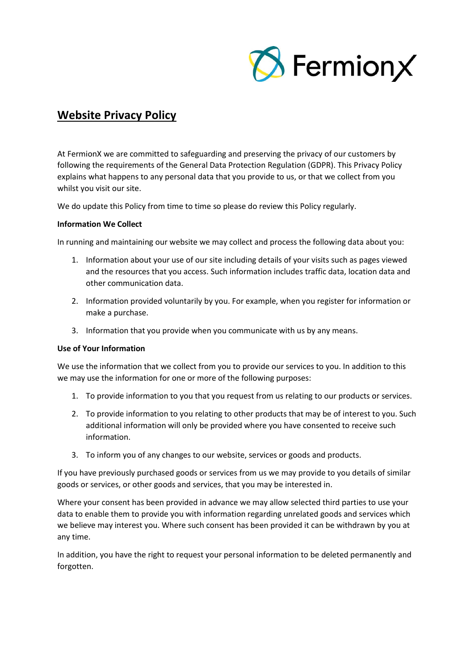

# **Website Privacy Policy**

At FermionX we are committed to safeguarding and preserving the privacy of our customers by following the requirements of the General Data Protection Regulation (GDPR). This Privacy Policy explains what happens to any personal data that you provide to us, or that we collect from you whilst you visit our site.

We do update this Policy from time to time so please do review this Policy regularly.

#### **Information We Collect**

In running and maintaining our website we may collect and process the following data about you:

- 1. Information about your use of our site including details of your visits such as pages viewed and the resources that you access. Such information includes traffic data, location data and other communication data.
- 2. Information provided voluntarily by you. For example, when you register for information or make a purchase.
- 3. Information that you provide when you communicate with us by any means.

#### **Use of Your Information**

We use the information that we collect from you to provide our services to you. In addition to this we may use the information for one or more of the following purposes:

- 1. To provide information to you that you request from us relating to our products or services.
- 2. To provide information to you relating to other products that may be of interest to you. Such additional information will only be provided where you have consented to receive such information.
- 3. To inform you of any changes to our website, services or goods and products.

If you have previously purchased goods or services from us we may provide to you details of similar goods or services, or other goods and services, that you may be interested in.

Where your consent has been provided in advance we may allow selected third parties to use your data to enable them to provide you with information regarding unrelated goods and services which we believe may interest you. Where such consent has been provided it can be withdrawn by you at any time.

In addition, you have the right to request your personal information to be deleted permanently and forgotten.